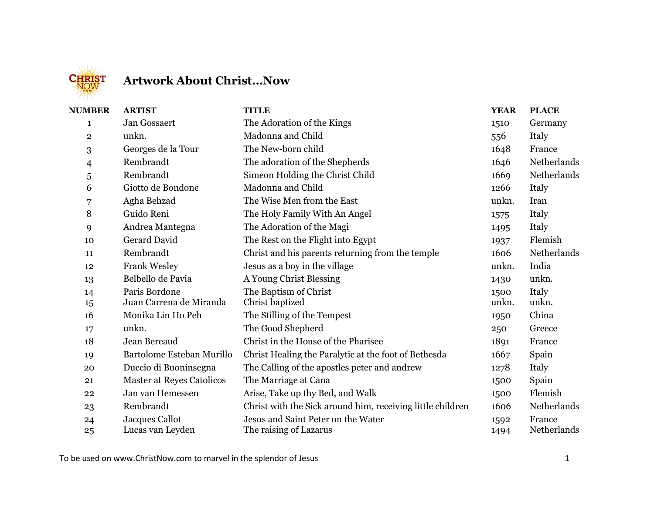

## **Artwork About Christ…Now**

| <b>NUMBER</b> | <b>ARTIST</b>                      | <b>TITLE</b>                                                 | <b>YEAR</b> | <b>PLACE</b>          |
|---------------|------------------------------------|--------------------------------------------------------------|-------------|-----------------------|
| $\mathbf{1}$  | Jan Gossaert                       | The Adoration of the Kings                                   | 1510        | Germany               |
| $\mathbf 2$   | unkn.                              | Madonna and Child                                            | 556         | Italy                 |
| 3             | Georges de la Tour                 | The New-born child                                           | 1648        | France                |
| 4             | Rembrandt                          | The adoration of the Shepherds                               | 1646        | Netherlands           |
| 5             | Rembrandt                          | Simeon Holding the Christ Child                              | 1669        | Netherlands           |
| 6             | Giotto de Bondone                  | Madonna and Child                                            | 1266        | Italy                 |
| 7             | Agha Behzad                        | The Wise Men from the East                                   | unkn.       | Iran                  |
| 8             | Guido Reni                         | The Holy Family With An Angel                                | 1575        | Italy                 |
| 9             | Andrea Mantegna                    | The Adoration of the Magi                                    | 1495        | Italy                 |
| 10            | <b>Gerard David</b>                | The Rest on the Flight into Egypt                            | 1937        | Flemish               |
| 11            | Rembrandt                          | Christ and his parents returning from the temple             | 1606        | Netherlands           |
| 12            | <b>Frank Wesley</b>                | Jesus as a boy in the village                                | unkn.       | India                 |
| 13            | Belbello de Pavia                  | A Young Christ Blessing                                      | 1430        | unkn.                 |
| 14            | Paris Bordone                      | The Baptism of Christ                                        | 1500        | Italy                 |
| 15            | Juan Carrena de Miranda            | Christ baptized                                              | unkn.       | unkn.                 |
| 16            | Monika Lin Ho Peh                  | The Stilling of the Tempest                                  | 1950        | China                 |
| 17            | unkn.                              | The Good Shepherd                                            | 250         | Greece                |
| 18            | Jean Bereaud                       | Christ in the House of the Pharisee                          | 1891        | France                |
| 19            | Bartolome Esteban Murillo          | Christ Healing the Paralytic at the foot of Bethesda         | 1667        | Spain                 |
| 20            | Duccio di Buoninsegna              | The Calling of the apostles peter and andrew                 | 1278        | Italy                 |
| 21            | <b>Master at Reyes Catolicos</b>   | The Marriage at Cana                                         | 1500        | Spain                 |
| 22            | Jan van Hemessen                   | Arise, Take up thy Bed, and Walk                             | 1500        | Flemish               |
| 23            | Rembrandt                          | Christ with the Sick around him, receiving little children   | 1606        | Netherlands           |
| 24<br>25      | Jacques Callot<br>Lucas van Leyden | Jesus and Saint Peter on the Water<br>The raising of Lazarus | 1592        | France<br>Netherlands |
|               |                                    |                                                              | 1494        |                       |

To be used on www.ChristNow.com to marvel in the splendor of Jesus 1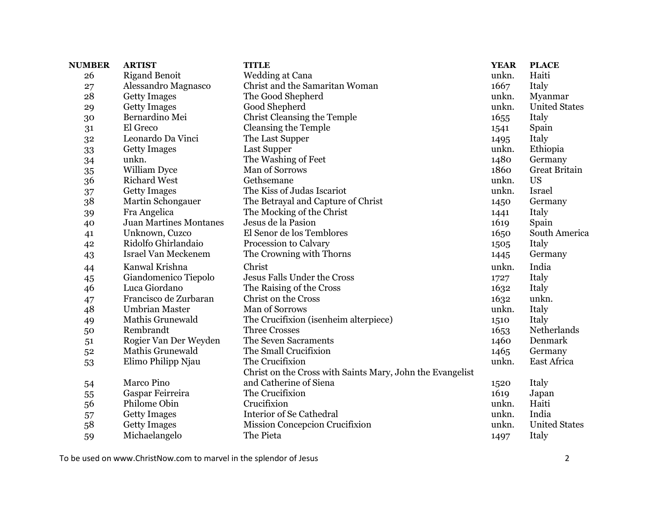| <b>NUMBER</b> | <b>ARTIST</b>                 | <b>TITLE</b>                                              | <b>YEAR</b> | <b>PLACE</b>         |
|---------------|-------------------------------|-----------------------------------------------------------|-------------|----------------------|
| 26            | <b>Rigand Benoit</b>          | <b>Wedding at Cana</b>                                    | unkn.       | Haiti                |
| 27            | Alessandro Magnasco           | Christ and the Samaritan Woman                            | 1667        | Italy                |
| 28            | <b>Getty Images</b>           | The Good Shepherd                                         | unkn.       | Myanmar              |
| 29            | <b>Getty Images</b>           | Good Shepherd                                             | unkn.       | <b>United States</b> |
| 30            | Bernardino Mei                | <b>Christ Cleansing the Temple</b>                        | 1655        | Italy                |
| 31            | El Greco                      | <b>Cleansing the Temple</b>                               | 1541        | Spain                |
| 32            | Leonardo Da Vinci             | The Last Supper                                           | 1495        | Italy                |
| 33            | <b>Getty Images</b>           | Last Supper                                               | unkn.       | Ethiopia             |
| 34            | unkn.                         | The Washing of Feet                                       | 1480        | Germany              |
| 35            | William Dyce                  | Man of Sorrows                                            | 1860        | <b>Great Britain</b> |
| 36            | <b>Richard West</b>           | Gethsemane                                                | unkn.       | <b>US</b>            |
| 37            | <b>Getty Images</b>           | The Kiss of Judas Iscariot                                | unkn.       | <b>Israel</b>        |
| 38            | Martin Schongauer             | The Betrayal and Capture of Christ                        | 1450        | Germany              |
| 39            | Fra Angelica                  | The Mocking of the Christ                                 | 1441        | Italy                |
| 40            | <b>Juan Martines Montanes</b> | Jesus de la Pasion                                        | 1619        | Spain                |
| 41            | Unknown, Cuzco                | El Senor de los Temblores                                 | 1650        | South America        |
| 42            | Ridolfo Ghirlandaio           | Procession to Calvary                                     | 1505        | Italy                |
| 43            | <b>Israel Van Meckenem</b>    | The Crowning with Thorns                                  | 1445        | Germany              |
| 44            | Kanwal Krishna                | Christ                                                    | unkn.       | India                |
| 45            | Giandomenico Tiepolo          | Jesus Falls Under the Cross                               | 1727        | Italy                |
| 46            | Luca Giordano                 | The Raising of the Cross                                  | 1632        | Italy                |
| 47            | Francisco de Zurbaran         | Christ on the Cross                                       | 1632        | unkn.                |
| 48            | <b>Umbrian Master</b>         | Man of Sorrows                                            | unkn.       | Italy                |
| 49            | <b>Mathis Grunewald</b>       | The Crucifixion (isenheim alterpiece)                     | 1510        | Italy                |
| 50            | Rembrandt                     | <b>Three Crosses</b>                                      | 1653        | Netherlands          |
| 51            | Rogier Van Der Weyden         | The Seven Sacraments                                      | 1460        | Denmark              |
| 52            | <b>Mathis Grunewald</b>       | The Small Crucifixion                                     | 1465        | Germany              |
| 53            | Elimo Philipp Njau            | The Crucifixion                                           | unkn.       | East Africa          |
|               |                               | Christ on the Cross with Saints Mary, John the Evangelist |             |                      |
| 54            | Marco Pino                    | and Catherine of Siena                                    | 1520        | Italy                |
| 55            | Gaspar Feirreira              | The Crucifixion                                           | 1619        | Japan                |
| 56            | Philome Obin                  | Crucifixion                                               | unkn.       | Haiti                |
| 57            | <b>Getty Images</b>           | <b>Interior of Se Cathedral</b>                           | unkn.       | India                |
| 58            | <b>Getty Images</b>           | <b>Mission Concepcion Crucifixion</b>                     | unkn.       | <b>United States</b> |
| 59            | Michaelangelo                 | The Pieta                                                 | 1497        | Italy                |

To be used on www.ChristNow.com to marvel in the splendor of Jesus 2